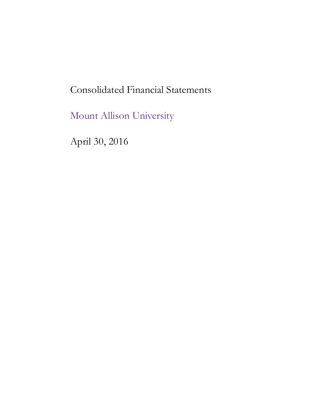# Consolidated Financial Statements

Mount Allison University

April 30, 2016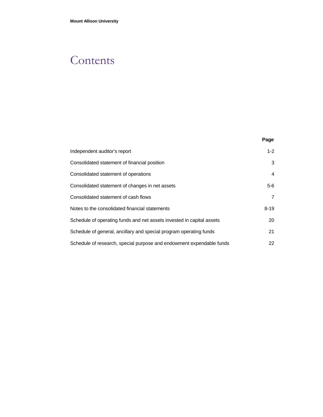# **Contents**

|                                                                       | Page           |
|-----------------------------------------------------------------------|----------------|
| Independent auditor's report                                          | $1 - 2$        |
| Consolidated statement of financial position                          | 3              |
| Consolidated statement of operations                                  | $\overline{4}$ |
| Consolidated statement of changes in net assets                       | $5-6$          |
| Consolidated statement of cash flows                                  | 7              |
| Notes to the consolidated financial statements                        | $8 - 19$       |
| Schedule of operating funds and net assets invested in capital assets | 20             |
| Schedule of general, ancillary and special program operating funds    | 21             |
| Schedule of research, special purpose and endowment expendable funds  | 22             |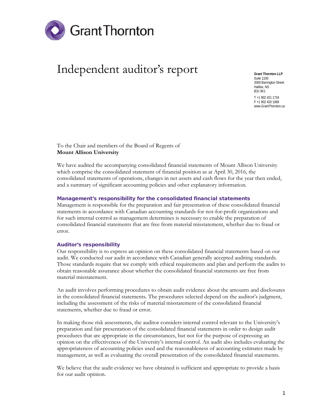

# Independent auditor's report

**Grant Thornton LLP** Suite 1100 2000 Barrington Street Halifax, NS B3J 3K1 T +1 902 421 1734

F +1 902 420 1068 www.GrantThornton.ca

To the Chair and members of the Board of Regents of **Mount Allison University**

We have audited the accompanying consolidated financial statements of Mount Allison University which comprise the consolidated statement of financial position as at April 30, 2016, the consolidated statements of operations, changes in net assets and cash flows for the year then ended, and a summary of significant accounting policies and other explanatory information.

### Management's responsibility for the consolidated financial statements

Management is responsible for the preparation and fair presentation of these consolidated financial statements in accordance with Canadian accounting standards for not-for-profit organizations and for such internal control as management determines is necessary to enable the preparation of consolidated financial statements that are free from material misstatement, whether due to fraud or error.

#### Auditor's responsibility

Our responsibility is to express an opinion on these consolidated financial statements based on our audit. We conducted our audit in accordance with Canadian generally accepted auditing standards. Those standards require that we comply with ethical requirements and plan and perform the audits to obtain reasonable assurance about whether the consolidated financial statements are free from material misstatement.

An audit involves performing procedures to obtain audit evidence about the amounts and disclosures in the consolidated financial statements. The procedures selected depend on the auditor's judgment, including the assessment of the risks of material misstatement of the consolidated financial statements, whether due to fraud or error.

In making those risk assessments, the auditor considers internal control relevant to the University's preparation and fair presentation of the consolidated financial statements in order to design audit procedures that are appropriate in the circumstances, but not for the purpose of expressing an opinion on the effectiveness of the University's internal control. An audit also includes evaluating the appropriateness of accounting policies used and the reasonableness of accounting estimates made by management, as well as evaluating the overall presentation of the consolidated financial statements.

We believe that the audit evidence we have obtained is sufficient and appropriate to provide a basis for our audit opinion.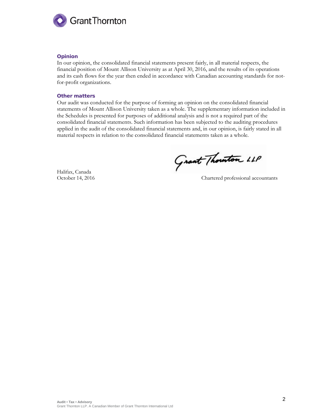

### Opinion

In our opinion, the consolidated financial statements present fairly, in all material respects, the financial position of Mount Allison University as at April 30, 2016, and the results of its operations and its cash flows for the year then ended in accordance with Canadian accounting standards for notfor-profit organizations.

#### Other matters

Our audit was conducted for the purpose of forming an opinion on the consolidated financial statements of Mount Allison University taken as a whole. The supplementary information included in the Schedules is presented for purposes of additional analysis and is not a required part of the consolidated financial statements. Such information has been subjected to the auditing procedures applied in the audit of the consolidated financial statements and, in our opinion, is fairly stated in all material respects in relation to the consolidated financial statements taken as a whole.

Halifax, Canada

Grant Thouton LLP

October 14, 2016 Chartered professional accountants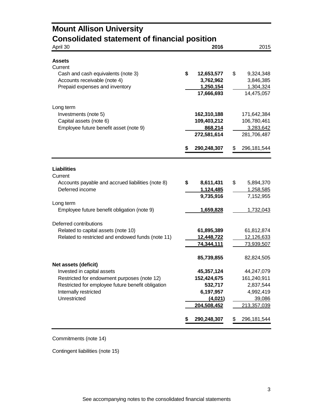| <b>Mount Allison University</b><br><b>Consolidated statement of financial position</b> |                   |                     |
|----------------------------------------------------------------------------------------|-------------------|---------------------|
| April 30                                                                               | 2016              | 2015                |
|                                                                                        |                   |                     |
| Assets                                                                                 |                   |                     |
| Current<br>Cash and cash equivalents (note 3)                                          | \$<br>12,653,577  | \$<br>9,324,348     |
| Accounts receivable (note 4)                                                           | 3,762,962         | 3,846,385           |
| Prepaid expenses and inventory                                                         | 1,250,154         | 1,304,324           |
|                                                                                        | 17,666,693        | 14,475,057          |
| Long term                                                                              |                   |                     |
| Investments (note 5)                                                                   | 162,310,188       | 171,642,384         |
| Capital assets (note 6)                                                                | 109,403,212       | 106,780,461         |
| Employee future benefit asset (note 9)                                                 | 868,214           | 3,283,642           |
|                                                                                        | 272,581,614       | 281,706,487         |
|                                                                                        |                   |                     |
|                                                                                        | 290,248,307<br>S  | \$<br>296,181,544   |
| <b>Liabilities</b><br>Current                                                          |                   |                     |
| Accounts payable and accrued liabilities (note 8)                                      | \$<br>8,611,431   | 5,894,370<br>\$     |
| Deferred income                                                                        | 1,124,485         | 1,258,585           |
|                                                                                        | 9,735,916         | 7,152,955           |
| Long term                                                                              |                   |                     |
| Employee future benefit obligation (note 9)                                            | 1,659,828         | 1,732,043           |
| Deferred contributions                                                                 |                   |                     |
| Related to capital assets (note 10)                                                    | 61,895,389        | 61,812,874          |
| Related to restricted and endowed funds (note 11)                                      | 12,448,722        | 12,126,633          |
|                                                                                        | 74,344,111        | 73,939,507          |
| Net assets (deficit)                                                                   | 85,739,855        | 82,824,505          |
| Invested in capital assets                                                             | 45,357,124        | 44,247,079          |
| Restricted for endowment purposes (note 12)                                            | 152,424,675       | 161,240,911         |
| Restricted for employee future benefit obligation                                      | 532,717           | 2,837,544           |
| Internally restricted                                                                  | 6,197,957         | 4,992,419           |
| Unrestricted                                                                           | (4,021)           | 39,086              |
|                                                                                        | 204,508,452       | 213,357,039         |
|                                                                                        | 290,248,307<br>\$ | \$<br>296, 181, 544 |

Commitments (note 14)

Contingent liabilities (note 15)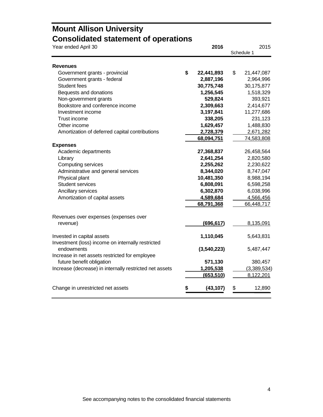## **Mount Allison University Consolidated statement of operations**

| Year ended April 30                                     | 2016 |             | 2015 |            |             |
|---------------------------------------------------------|------|-------------|------|------------|-------------|
|                                                         |      |             |      | Schedule 1 |             |
|                                                         |      |             |      |            |             |
| <b>Revenues</b><br>Government grants - provincial       | \$   | 22,441,893  | \$   |            | 21,447,087  |
| Government grants - federal                             |      | 2,887,196   |      |            | 2,964,996   |
| Student fees                                            |      | 30,775,748  |      |            | 30,175,877  |
| Bequests and donations                                  |      | 1,256,545   |      |            | 1,518,329   |
| Non-government grants                                   |      | 529,824     |      |            | 393,921     |
| Bookstore and conference income                         |      | 2,309,663   |      |            | 2,414,677   |
| Investment income                                       |      | 3,197,841   |      |            | 11,277,686  |
| Trust income                                            |      | 338,205     |      |            | 231,123     |
| Other income                                            |      | 1,629,457   |      |            | 1,488,830   |
| Amortization of deferred capital contributions          |      | 2,728,379   |      |            | 2,671,282   |
|                                                         |      | 68,094,751  |      |            | 74,583,808  |
| <b>Expenses</b>                                         |      |             |      |            |             |
| Academic departments                                    |      | 27,368,837  |      |            | 26,458,564  |
| Library                                                 |      | 2,641,254   |      |            | 2,820,580   |
| Computing services                                      |      | 2,255,262   |      |            | 2,230,622   |
| Administrative and general services                     |      | 8,344,020   |      |            | 8,747,047   |
| Physical plant                                          |      | 10,481,350  |      |            | 8,988,194   |
| <b>Student services</b>                                 |      | 6,808,091   |      |            | 6,598,258   |
| Ancillary services                                      |      | 6,302,870   |      |            | 6,038,996   |
| Amortization of capital assets                          |      | 4,589,684   |      |            | 4,566,456   |
|                                                         |      | 68,791,368  |      |            | 66,448,717  |
|                                                         |      |             |      |            |             |
| Revenues over expenses (expenses over                   |      |             |      |            |             |
| revenue)                                                |      | (696, 617)  |      |            | 8,135,091   |
|                                                         |      |             |      |            |             |
| Invested in capital assets                              |      | 1,110,045   |      |            | 5,643,831   |
| Investment (loss) income on internally restricted       |      |             |      |            |             |
| endowments                                              |      | (3,540,223) |      |            | 5,487,447   |
| Increase in net assets restricted for employee          |      |             |      |            |             |
| future benefit obligation                               |      | 571,130     |      |            | 380,457     |
| Increase (decrease) in internally restricted net assets |      | 1,205,538   |      |            | (3,389,534) |
|                                                         |      | (653, 510)  |      |            | 8,122,201   |
|                                                         |      |             |      |            |             |
| Change in unrestricted net assets                       |      | (43, 107)   | \$   |            | 12,890      |
|                                                         |      |             |      |            |             |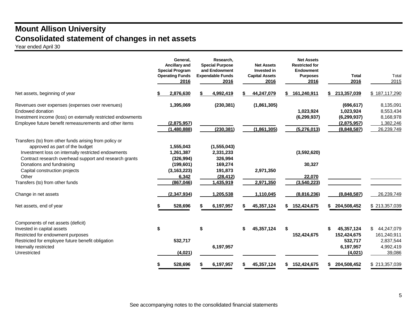## **Mount Allison University Consolidated statement of changes in net assets**

Year ended April 30

| General,<br>Ancillary and<br><b>Special Program</b><br><b>Operating Funds</b><br>2016                                  | Research,<br><b>Special Purpose</b><br>and Endowment<br><b>Expendable Funds</b><br>2016                         | <b>Net Assets</b><br><b>Invested in</b><br><b>Capital Assets</b><br>2016 | <b>Net Assets</b><br><b>Restricted for</b><br><b>Endowment</b><br><b>Purposes</b><br>2016 | <b>Total</b><br>2016                                              | Total<br>2015                                                                         |
|------------------------------------------------------------------------------------------------------------------------|-----------------------------------------------------------------------------------------------------------------|--------------------------------------------------------------------------|-------------------------------------------------------------------------------------------|-------------------------------------------------------------------|---------------------------------------------------------------------------------------|
| 2,876,630                                                                                                              | 4,992,419                                                                                                       | 44,247,079                                                               | \$161,240,911                                                                             | 213,357,039                                                       | \$187,117,290                                                                         |
| 1,395,069<br>(2,875,957)                                                                                               | (230, 381)                                                                                                      | (1,861,305)                                                              | 1,023,924<br>(6, 299, 937)                                                                | (696, 617)<br>1,023,924<br>(6, 299, 937)<br>(2,875,957)           | 8,135,091<br>8,553,434<br>8,168,978<br>1,382,246                                      |
|                                                                                                                        |                                                                                                                 |                                                                          |                                                                                           |                                                                   | 26,239,749                                                                            |
| 1,555,043<br>1,261,387<br>(326, 994)<br>(199, 601)<br>(3, 163, 223)<br>6,342<br>(867, 046)<br>(2, 347, 934)<br>528,696 | (1, 555, 043)<br>2,331,233<br>326,994<br>169,274<br>191,873<br>(28, 412)<br>1,435,919<br>1,205,538<br>6,197,957 | 2,971,350<br>2,971,350<br>1,110,045<br>45,357,124                        | (3,592,620)<br>30,327<br>22.070<br>(3,540,223)<br>(8,816,236)<br>152,424,675<br>S.        | (8,848,587)<br>204,508,452                                        | 26,239,749<br>\$213,357,039                                                           |
| \$<br>532,717<br>(4,021)                                                                                               | \$<br>6,197,957                                                                                                 | 45,357,124<br>\$                                                         | \$<br>152,424,675                                                                         | 45,357,124<br>S<br>152,424,675<br>532,717<br>6,197,957<br>(4,021) | 44,247,079<br>\$.<br>161,240,911<br>2,837,544<br>4,992,419<br>39,086<br>\$213,357,039 |
|                                                                                                                        | (1,480,888)<br>528,696                                                                                          | (230, 381)<br>6,197,957                                                  | (1,861,305)<br>45,357,124                                                                 | (5,276,013)<br>\$152,424,675                                      | (8,848,587)<br>204,508,452<br>S.                                                      |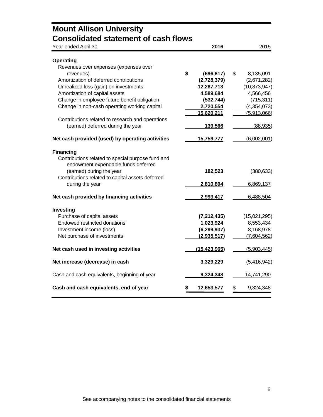| <b>Mount Allison University</b>                           |                   |                 |
|-----------------------------------------------------------|-------------------|-----------------|
| <b>Consolidated statement of cash flows</b>               |                   |                 |
| Year ended April 30                                       | 2016              | 2015            |
|                                                           |                   |                 |
| <b>Operating</b><br>Revenues over expenses (expenses over |                   |                 |
| revenues)                                                 | \$<br>(696, 617)  | \$<br>8,135,091 |
| Amortization of deferred contributions                    | (2,728,379)       | (2,671,282)     |
| Unrealized loss (gain) on investments                     | 12,267,713        | (10, 873, 947)  |
| Amortization of capital assets                            | 4,589,684         | 4,566,456       |
| Change in employee future benefit obligation              | (532, 744)        | (715, 311)      |
| Change in non-cash operating working capital              | 2,720,554         | (4,354,073)     |
|                                                           | 15,620,211        | (5,913,066)     |
| Contributions related to research and operations          |                   |                 |
| (earned) deferred during the year                         | 139,566           | (88, 935)       |
| Net cash provided (used) by operating activities          | <u>15,759,777</u> | (6,002,001)     |
| <b>Financing</b>                                          |                   |                 |
| Contributions related to special purpose fund and         |                   |                 |
| endowment expendable funds deferred                       |                   |                 |
| (earned) during the year                                  | 182,523           | (380, 633)      |
| Contributions related to capital assets deferred          |                   |                 |
| during the year                                           | 2,810,894         | 6,869,137       |
| Net cash provided by financing activities                 | 2,993,417         | 6,488,504       |
| Investing                                                 |                   |                 |
| Purchase of capital assets                                | (7, 212, 435)     | (15,021,295)    |
| Endowed restricted donations                              | 1,023,924         | 8,553,434       |
| Investment income (loss)                                  | (6, 299, 937)     | 8,168,978       |
| Net purchase of investments                               | (2,935,517)       | (7,604,562)     |
| Net cash used in investing activities                     | (15, 423, 965)    | (5,903,445)     |
| Net increase (decrease) in cash                           | 3,329,229         | (5,416,942)     |
| Cash and cash equivalents, beginning of year              | 9,324,348         | 14,741,290      |
| Cash and cash equivalents, end of year                    | 12,653,577        | \$<br>9,324,348 |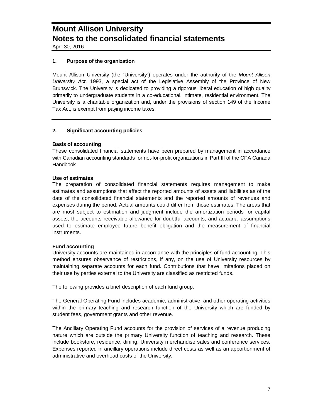April 30, 2016

### **1. Purpose of the organization**

Mount Allison University (the "University") operates under the authority of the *Mount Allison University Act*, 1993, a special act of the Legislative Assembly of the Province of New Brunswick. The University is dedicated to providing a rigorous liberal education of high quality primarily to undergraduate students in a co-educational, intimate, residential environment. The University is a charitable organization and, under the provisions of section 149 of the Income Tax Act, is exempt from paying income taxes.

### **2. Significant accounting policies**

### **Basis of accounting**

These consolidated financial statements have been prepared by management in accordance with Canadian accounting standards for not-for-profit organizations in Part III of the CPA Canada Handbook.

### **Use of estimates**

The preparation of consolidated financial statements requires management to make estimates and assumptions that affect the reported amounts of assets and liabilities as of the date of the consolidated financial statements and the reported amounts of revenues and expenses during the period. Actual amounts could differ from those estimates. The areas that are most subject to estimation and judgment include the amortization periods for capital assets, the accounts receivable allowance for doubtful accounts, and actuarial assumptions used to estimate employee future benefit obligation and the measurement of financial instruments.

### **Fund accounting**

University accounts are maintained in accordance with the principles of fund accounting. This method ensures observance of restrictions, if any, on the use of University resources by maintaining separate accounts for each fund. Contributions that have limitations placed on their use by parties external to the University are classified as restricted funds.

The following provides a brief description of each fund group:

The General Operating Fund includes academic, administrative, and other operating activities within the primary teaching and research function of the University which are funded by student fees, government grants and other revenue.

The Ancillary Operating Fund accounts for the provision of services of a revenue producing nature which are outside the primary University function of teaching and research. These include bookstore, residence, dining, University merchandise sales and conference services. Expenses reported in ancillary operations include direct costs as well as an apportionment of administrative and overhead costs of the University.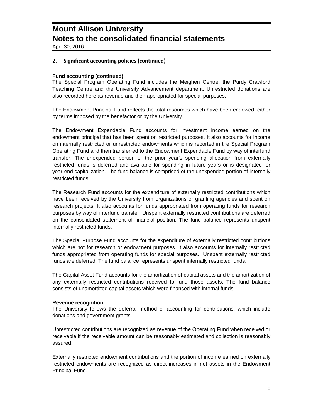April 30, 2016

### **2. Significant accounting policies (continued)**

### **Fund accounting (continued)**

The Special Program Operating Fund includes the Meighen Centre, the Purdy Crawford Teaching Centre and the University Advancement department. Unrestricted donations are also recorded here as revenue and then appropriated for special purposes.

The Endowment Principal Fund reflects the total resources which have been endowed, either by terms imposed by the benefactor or by the University.

The Endowment Expendable Fund accounts for investment income earned on the endowment principal that has been spent on restricted purposes. It also accounts for income on internally restricted or unrestricted endowments which is reported in the Special Program Operating Fund and then transferred to the Endowment Expendable Fund by way of interfund transfer. The unexpended portion of the prior year's spending allocation from externally restricted funds is deferred and available for spending in future years or is designated for year-end capitalization. The fund balance is comprised of the unexpended portion of internally restricted funds.

The Research Fund accounts for the expenditure of externally restricted contributions which have been received by the University from organizations or granting agencies and spent on research projects. It also accounts for funds appropriated from operating funds for research purposes by way of interfund transfer. Unspent externally restricted contributions are deferred on the consolidated statement of financial position. The fund balance represents unspent internally restricted funds.

The Special Purpose Fund accounts for the expenditure of externally restricted contributions which are not for research or endowment purposes. It also accounts for internally restricted funds appropriated from operating funds for special purposes. Unspent externally restricted funds are deferred. The fund balance represents unspent internally restricted funds.

The Capital Asset Fund accounts for the amortization of capital assets and the amortization of any externally restricted contributions received to fund those assets. The fund balance consists of unamortized capital assets which were financed with internal funds.

### **Revenue recognition**

The University follows the deferral method of accounting for contributions, which include donations and government grants.

Unrestricted contributions are recognized as revenue of the Operating Fund when received or receivable if the receivable amount can be reasonably estimated and collection is reasonably assured.

Externally restricted endowment contributions and the portion of income earned on externally restricted endowments are recognized as direct increases in net assets in the Endowment Principal Fund.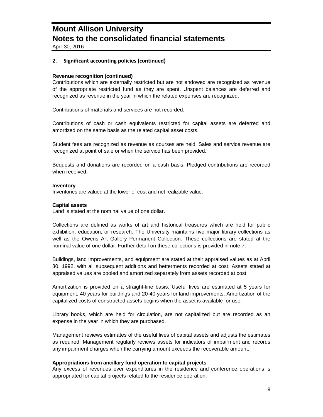April 30, 2016

### **2. Significant accounting policies (continued)**

#### **Revenue recognition (continued)**

Contributions which are externally restricted but are not endowed are recognized as revenue of the appropriate restricted fund as they are spent. Unspent balances are deferred and recognized as revenue in the year in which the related expenses are recognized.

Contributions of materials and services are not recorded.

Contributions of cash or cash equivalents restricted for capital assets are deferred and amortized on the same basis as the related capital asset costs.

Student fees are recognized as revenue as courses are held. Sales and service revenue are recognized at point of sale or when the service has been provided.

Bequests and donations are recorded on a cash basis. Pledged contributions are recorded when received.

#### **Inventory**

Inventories are valued at the lower of cost and net realizable value.

#### **Capital assets**

Land is stated at the nominal value of one dollar.

Collections are defined as works of art and historical treasures which are held for public exhibition, education, or research. The University maintains five major library collections as well as the Owens Art Gallery Permanent Collection. These collections are stated at the nominal value of one dollar. Further detail on these collections is provided in note 7.

Buildings, land improvements, and equipment are stated at their appraised values as at April 30, 1992, with all subsequent additions and betterments recorded at cost. Assets stated at appraised values are pooled and amortized separately from assets recorded at cost.

Amortization is provided on a straight-line basis. Useful lives are estimated at 5 years for equipment, 40 years for buildings and 20-40 years for land improvements. Amortization of the capitalized costs of constructed assets begins when the asset is available for use.

Library books, which are held for circulation, are not capitalized but are recorded as an expense in the year in which they are purchased.

Management reviews estimates of the useful lives of capital assets and adjusts the estimates as required. Management regularly reviews assets for indicators of impairment and records any impairment charges when the carrying amount exceeds the recoverable amount.

### **Appropriations from ancillary fund operation to capital projects**

Any excess of revenues over expenditures in the residence and conference operations is appropriated for capital projects related to the residence operation.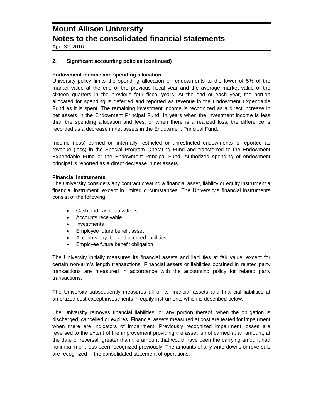April 30, 2016

### **2. Significant accounting policies (continued)**

### **Endowment income and spending allocation**

University policy limits the spending allocation on endowments to the lower of 5% of the market value at the end of the previous fiscal year and the average market value of the sixteen quarters in the previous four fiscal years. At the end of each year, the portion allocated for spending is deferred and reported as revenue in the Endowment Expendable Fund as it is spent. The remaining investment income is recognized as a direct increase in net assets in the Endowment Principal Fund. In years when the investment income is less than the spending allocation and fees, or when there is a realized loss, the difference is recorded as a decrease in net assets in the Endowment Principal Fund.

Income (loss) earned on internally restricted or unrestricted endowments is reported as revenue (loss) in the Special Program Operating Fund and transferred to the Endowment Expendable Fund or the Endowment Principal Fund. Authorized spending of endowment principal is reported as a direct decrease in net assets.

### **Financial instruments**

The University considers any contract creating a financial asset, liability or equity instrument a financial instrument, except in limited circumstances. The University's financial instruments consist of the following:

- Cash and cash equivalents
- Accounts receivable
- Investments
- Employee future benefit asset
- Accounts payable and accrued liabilities
- Employee future benefit obligation

The University initially measures its financial assets and liabilities at fair value, except for certain non-arm's length transactions. Financial assets or liabilities obtained in related party transactions are measured in accordance with the accounting policy for related party transactions.

The University subsequently measures all of its financial assets and financial liabilities at amortized cost except investments in equity instruments which is described below.

The University removes financial liabilities, or any portion thereof, when the obligation is discharged, cancelled or expires. Financial assets measured at cost are tested for impairment when there are indicators of impairment. Previously recognized impairment losses are reversed to the extent of the improvement providing the asset is not carried at an amount, at the date of reversal, greater than the amount that would have been the carrying amount had no impairment loss been recognized previously. The amounts of any write-downs or reversals are recognized in the consolidated statement of operations.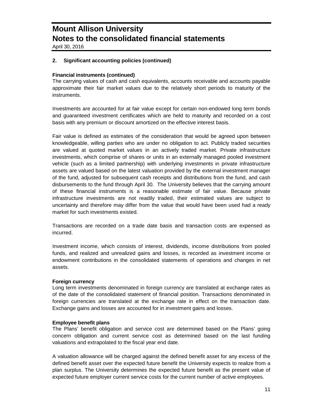April 30, 2016

### **2. Significant accounting policies (continued)**

### **Financial instruments (continued)**

The carrying values of cash and cash equivalents, accounts receivable and accounts payable approximate their fair market values due to the relatively short periods to maturity of the instruments.

Investments are accounted for at fair value except for certain non-endowed long term bonds and guaranteed investment certificates which are held to maturity and recorded on a cost basis with any premium or discount amortized on the effective interest basis.

Fair value is defined as estimates of the consideration that would be agreed upon between knowledgeable, willing parties who are under no obligation to act. Publicly traded securities are valued at quoted market values in an actively traded market. Private infrastructure investments, which comprise of shares or units in an externally managed pooled investment vehicle (such as a limited partnership) with underlying investments in private infrastructure assets are valued based on the latest valuation provided by the external investment manager of the fund, adjusted for subsequent cash receipts and distributions from the fund, and cash disbursements to the fund through April 30. The University believes that the carrying amount of these financial instruments is a reasonable estimate of fair value. Because private infrastructure investments are not readily traded, their estimated values are subject to uncertainty and therefore may differ from the value that would have been used had a ready market for such investments existed.

Transactions are recorded on a trade date basis and transaction costs are expensed as incurred.

Investment income, which consists of interest, dividends, income distributions from pooled funds, and realized and unrealized gains and losses, is recorded as investment income or endowment contributions in the consolidated statements of operations and changes in net assets.

### **Foreign currency**

Long term investments denominated in foreign currency are translated at exchange rates as of the date of the consolidated statement of financial position. Transactions denominated in foreign currencies are translated at the exchange rate in effect on the transaction date. Exchange gains and losses are accounted for in investment gains and losses.

### **Employee benefit plans**

The Plans' benefit obligation and service cost are determined based on the Plans' going concern obligation and current service cost as determined based on the last funding valuations and extrapolated to the fiscal year end date.

A valuation allowance will be charged against the defined benefit asset for any excess of the defined benefit asset over the expected future benefit the University expects to realize from a plan surplus. The University determines the expected future benefit as the present value of expected future employer current service costs for the current number of active employees.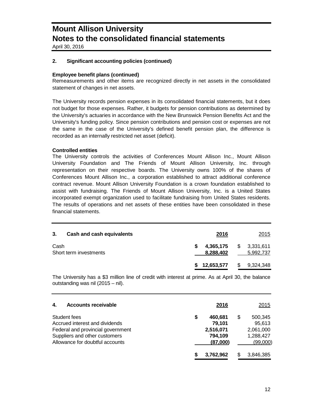April 30, 2016

### **2. Significant accounting policies (continued)**

### **Employee benefit plans (continued)**

Remeasurements and other items are recognized directly in net assets in the consolidated statement of changes in net assets.

The University records pension expenses in its consolidated financial statements, but it does not budget for those expenses. Rather, it budgets for pension contributions as determined by the University's actuaries in accordance with the New Brunswick Pension Benefits Act and the University's funding policy. Since pension contributions and pension cost or expenses are not the same in the case of the University's defined benefit pension plan, the difference is recorded as an internally restricted net asset (deficit).

#### **Controlled entities**

The University controls the activities of Conferences Mount Allison Inc., Mount Allison University Foundation and The Friends of Mount Allison University, Inc. through representation on their respective boards. The University owns 100% of the shares of Conferences Mount Allison Inc., a corporation established to attract additional conference contract revenue. Mount Allison University Foundation is a crown foundation established to assist with fundraising. The Friends of Mount Allison University, Inc. is a United States incorporated exempt organization used to facilitate fundraising from United States residents. The results of operations and net assets of these entities have been consolidated in these financial statements.

| 3.   | Cash and cash equivalents | 2016                      | 2015                   |
|------|---------------------------|---------------------------|------------------------|
| Cash | Short term investments    | 4,365,175 \$<br>8,288,402 | 3,331,611<br>5,992,737 |
|      |                           | 12,653,577                | \$<br>9,324,348        |

The University has a \$3 million line of credit with interest at prime. As at April 30, the balance outstanding was nil (2015 – nil).

| <b>Accounts receivable</b><br>4.                                                                                                                        | 2016                                                        |   | 2015                                                    |
|---------------------------------------------------------------------------------------------------------------------------------------------------------|-------------------------------------------------------------|---|---------------------------------------------------------|
| Student fees<br>Accrued interest and dividends<br>Federal and provincial government<br>Suppliers and other customers<br>Allowance for doubtful accounts | \$<br>460.681<br>79.101<br>2,516,071<br>794,109<br>(87,000) | S | 500,345<br>95,613<br>2,061,000<br>1,288,427<br>(99,000) |
|                                                                                                                                                         | 3,762,962                                                   |   | 3,846,385                                               |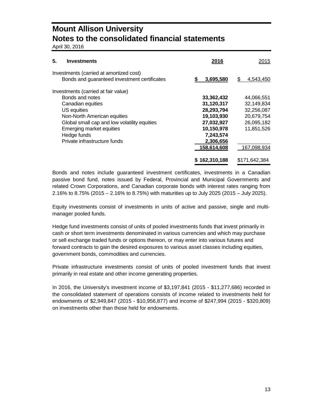April 30, 2016

| 5.<br><b>Investments</b>                                                                | 2016          | 2015           |
|-----------------------------------------------------------------------------------------|---------------|----------------|
| Investments (carried at amortized cost)<br>Bonds and guaranteed investment certificates | 3,695,580     | 4,543,450<br>S |
| Investments (carried at fair value)                                                     |               |                |
| Bonds and notes                                                                         | 33,362,432    | 44,066,551     |
| Canadian equities                                                                       | 31,120,317    | 32,149,834     |
| US equities                                                                             | 28,293,794    | 32,256,087     |
| Non-North American equities                                                             | 19,103,930    | 20,679,754     |
| Global small cap and low volatility equities                                            | 27,032,927    | 26,095,182     |
| Emerging market equities                                                                | 10,150,978    | 11.851.526     |
| Hedge funds                                                                             | 7,243,574     |                |
| Private infrastructure funds                                                            | 2,306,656     |                |
|                                                                                         | 158,614,608   | 167,098,934    |
|                                                                                         | \$162,310,188 | \$171.642.384  |

Bonds and notes include guaranteed investment certificates, investments in a Canadian passive bond fund, notes issued by Federal, Provincial and Municipal Governments and related Crown Corporations, and Canadian corporate bonds with interest rates ranging from 2.16% to 8.75% (2015 – 2.16% to 8.75%) with maturities up to July 2025 (2015 – July 2025).

Equity investments consist of investments in units of active and passive, single and multimanager pooled funds.

Hedge fund investments consist of units of pooled investments funds that invest primarily in cash or short term investments denominated in various currencies and which may purchase or sell exchange traded funds or options thereon, or may enter into various futures and forward contracts to gain the desired exposures to various asset classes including equities, government bonds, commodities and currencies.

Private infrastructure investments consist of units of pooled investment funds that invest primarily in real estate and other income generating properties.

In 2016, the University's investment income of \$3,197,841 (2015 - \$11,277,686) recorded in the consolidated statement of operations consists of income related to investments held for endowments of \$2,949,847 (2015 - \$10,956,877) and income of \$247,994 (2015 - \$320,809) on investments other than those held for endowments.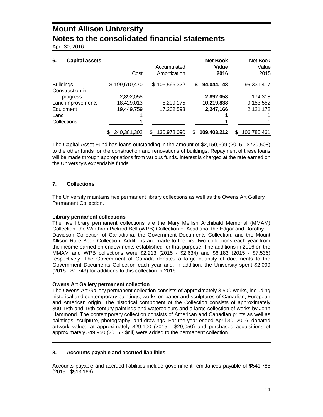April 30, 2016

| 6.<br><b>Capital assets</b>         | Cost          | Accumulated<br>Amortization | <b>Net Book</b><br>Value<br>2016 | Net Book<br>Value<br>2015 |
|-------------------------------------|---------------|-----------------------------|----------------------------------|---------------------------|
| <b>Buildings</b><br>Construction in | \$199,610,470 | \$105,566,322               | 94,044,148<br>S                  | 95,331,417                |
| progress                            | 2,892,058     |                             | 2,892,058                        | 174,318                   |
| Land improvements                   | 18,429,013    | 8,209,175                   | 10,219,838                       | 9,153,552                 |
| Equipment                           | 19,449,759    | 17,202,593                  | 2,247,166                        | 2,121,172                 |
| Land                                |               |                             |                                  |                           |
| Collections                         |               |                             |                                  |                           |
|                                     | 240,381,302   | 130,978,090                 | 109,403,212<br>S                 | 106,780,461<br>S          |

The Capital Asset Fund has loans outstanding in the amount of \$2,150,699 (2015 - \$720,508) to the other funds for the construction and renovations of buildings. Repayment of these loans will be made through appropriations from various funds. Interest is charged at the rate earned on the University's expendable funds.

### **7. Collections**

The University maintains five permanent library collections as well as the Owens Art Gallery Permanent Collection.

### **Library permanent collections**

The five library permanent collections are the Mary Mellish Archibald Memorial (MMAM) Collection, the Winthrop Pickard Bell (WPB) Collection of Acadiana, the Edgar and Dorothy Davidson Collection of Canadiana, the Government Documents Collection, and the Mount Allison Rare Book Collection. Additions are made to the first two collections each year from the income earned on endowments established for that purpose. The additions in 2016 on the MMAM and WPB collections were \$2,213 (2015 - \$2,634) and \$6,183 (2015 - \$7,536) respectively. The Government of Canada donates a large quantity of documents to the Government Documents Collection each year and, in addition, the University spent \$2,099 (2015 - \$1,743) for additions to this collection in 2016.

### **Owens Art Gallery permanent collection**

The Owens Art Gallery permanent collection consists of approximately 3,500 works, including historical and contemporary paintings, works on paper and sculptures of Canadian, European and American origin. The historical component of the Collection consists of approximately 300 18th and 19th century paintings and watercolours and a large collection of works by John Hammond. The contemporary collection consists of American and Canadian prints as well as paintings, sculpture, photography, and drawings. For the year ended April 30, 2016, donated artwork valued at approximately \$29,100 (2015 - \$29,050) and purchased acquisitions of approximately \$49,950 (2015 - \$nil) were added to the permanent collection.

### **8. Accounts payable and accrued liabilities**

Accounts payable and accrued liabilities include government remittances payable of \$541,788 (2015 - \$513,166).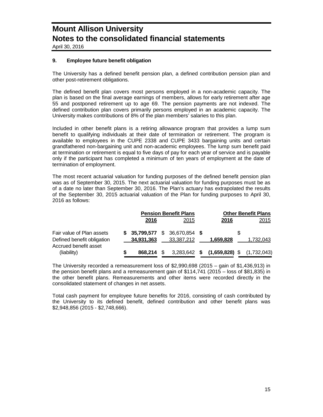April 30, 2016

### **9. Employee future benefit obligation**

The University has a defined benefit pension plan, a defined contribution pension plan and other post-retirement obligations.

The defined benefit plan covers most persons employed in a non-academic capacity. The plan is based on the final average earnings of members, allows for early retirement after age 55 and postponed retirement up to age 69. The pension payments are not indexed. The defined contribution plan covers primarily persons employed in an academic capacity. The University makes contributions of 8% of the plan members' salaries to this plan.

Included in other benefit plans is a retiring allowance program that provides a lump sum benefit to qualifying individuals at their date of termination or retirement. The program is available to employees in the CUPE 2338 and CUPE 3433 bargaining units and certain grandfathered non-bargaining unit and non-academic employees. The lump sum benefit paid at termination or retirement is equal to five days of pay for each year of service and is payable only if the participant has completed a minimum of ten years of employment at the date of termination of employment.

The most recent actuarial valuation for funding purposes of the defined benefit pension plan was as of September 30, 2015. The next actuarial valuation for funding purposes must be as of a date no later than September 30, 2016. The Plan's actuary has extrapolated the results of the September 30, 2015 actuarial valuation of the Plan for funding purposes to April 30, 2016 as follows:

|                                                         |   | <b>Pension Benefit Plans</b> |  |                                              |  |                                         | <b>Other Benefit Plans</b> |
|---------------------------------------------------------|---|------------------------------|--|----------------------------------------------|--|-----------------------------------------|----------------------------|
|                                                         |   | 2016                         |  | 2015                                         |  | 2016                                    | 2015                       |
| Fair value of Plan assets<br>Defined benefit obligation |   | 34,931,363                   |  | $$35,799,577$ $$36,670,854$ \$<br>33,387,212 |  | 1,659.828                               | 1.732.043                  |
| Accrued benefit asset<br>(liability)                    | S | 868.214 \$                   |  |                                              |  | 3,283,642 \$ (1,659,828) \$ (1,732,043) |                            |

The University recorded a remeasurement loss of \$2,990,698 (2015 – gain of \$1,436,913) in the pension benefit plans and a remeasurement gain of \$114,741 (2015 – loss of \$81,835) in the other benefit plans. Remeasurements and other items were recorded directly in the consolidated statement of changes in net assets.

Total cash payment for employee future benefits for 2016, consisting of cash contributed by the University to its defined benefit, defined contribution and other benefit plans was \$2,948,856 (2015 - \$2,748,666).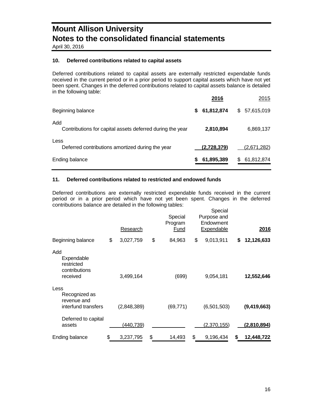April 30, 2016

### **10. Deferred contributions related to capital assets**

Deferred contributions related to capital assets are externally restricted expendable funds received in the current period or in a prior period to support capital assets which have not yet been spent. Changes in the deferred contributions related to capital assets balance is detailed in the following table:

|                                                                  | 2016            | 2015            |
|------------------------------------------------------------------|-----------------|-----------------|
| Beginning balance                                                | 61,812,874<br>S | \$57,615,019    |
| Add<br>Contributions for capital assets deferred during the year | 2,810,894       | 6,869,137       |
| Less<br>Deferred contributions amortized during the year         | (2,728,379)     | (2,671,282)     |
| Ending balance                                                   | 61,895,389      | 61,812,874<br>S |

### **11. Deferred contributions related to restricted and endowed funds**

Deferred contributions are externally restricted expendable funds received in the current period or in a prior period which have not yet been spent. Changes in the deferred contributions balance are detailed in the following tables:

|                                                              | Research        | Special<br>Program<br><u>Fund</u> | Special<br>Purpose and<br>Endowment<br><b>Expendable</b> |    | 2016        |
|--------------------------------------------------------------|-----------------|-----------------------------------|----------------------------------------------------------|----|-------------|
| Beginning balance                                            | \$<br>3,027,759 | \$<br>84,963                      | \$<br>9,013,911                                          | \$ | 12,126,633  |
| Add<br>Expendable<br>restricted<br>contributions<br>received | 3,499,164       | (699)                             | 9,054,181                                                |    | 12,552,646  |
| Less<br>Recognized as<br>revenue and<br>interfund transfers  | (2,848,389)     | (69, 771)                         | (6,501,503)                                              |    | (9,419,663) |
| Deferred to capital<br>assets                                | (440, 739)      |                                   | <u>(2,370,155)</u>                                       |    | (2,810,894) |
| Ending balance                                               | \$<br>3,237,795 | \$<br>14,493                      | \$<br>9,196,434                                          | S  | 12,448,722  |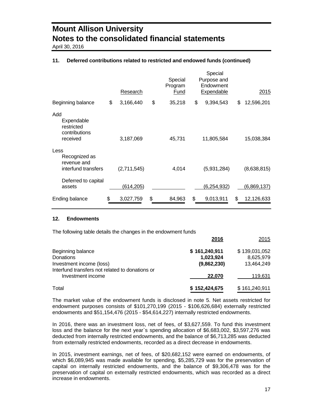April 30, 2016

### **11. Deferred contributions related to restricted and endowed funds (continued)**

|                                                              | Research        | Special<br>Program<br>Fund | Special<br>Purpose and<br>Endowment<br>Expendable | 2015             |
|--------------------------------------------------------------|-----------------|----------------------------|---------------------------------------------------|------------------|
| Beginning balance                                            | \$<br>3,166,440 | \$<br>35,218               | \$<br>9,394,543                                   | \$<br>12,596,201 |
| Add<br>Expendable<br>restricted<br>contributions<br>received | 3,187,069       | 45,731                     | 11,805,584                                        | 15,038,384       |
| Less<br>Recognized as<br>revenue and<br>interfund transfers  | (2,711,545)     | 4,014                      | (5,931,284)                                       | (8,638,815)      |
| Deferred to capital<br>assets                                | (614, 205)      |                            | (6,254,932)                                       | (6,869,137)      |
| Ending balance                                               | \$<br>3,027,759 | \$<br>84,963               | \$<br>9,013,911                                   | \$<br>12,126,633 |

### **12. Endowments**

The following table details the changes in the endowment funds

|                                                                             | 2016                       | 2015                       |
|-----------------------------------------------------------------------------|----------------------------|----------------------------|
| Beginning balance<br>Donations                                              | \$161,240,911<br>1,023,924 | \$139,031,052<br>8,625,979 |
| Investment income (loss)<br>Interfund transfers not related to donations or | (9,862,230)                | 13.464.249                 |
| Investment income                                                           | 22,070                     | 119,631                    |
| Total                                                                       | \$152,424,675              | \$161,240,911              |

The market value of the endowment funds is disclosed in note 5. Net assets restricted for endowment purposes consists of \$101,270,199 (2015 - \$106,626,684) externally restricted endowments and \$51,154,476 (2015 - \$54,614,227) internally restricted endowments.

In 2016, there was an investment loss, net of fees, of \$3,627,559. To fund this investment loss and the balance for the next year`s spending allocation of \$6,683,002, \$3,597,276 was deducted from internally restricted endowments, and the balance of \$6,713,285 was deducted from externally restricted endowments, recorded as a direct decrease in endowments.

In 2015, investment earnings, net of fees, of \$20,682,152 were earned on endowments, of which \$6,089,945 was made available for spending, \$5,285,729 was for the preservation of capital on internally restricted endowments, and the balance of \$9,306,478 was for the preservation of capital on externally restricted endowments, which was recorded as a direct increase in endowments.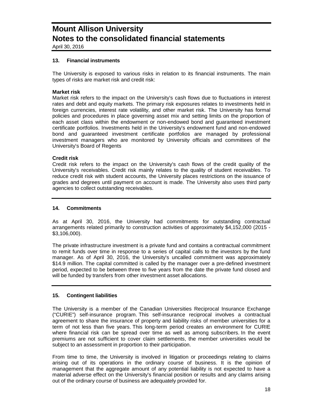April 30, 2016

### **13. Financial instruments**

The University is exposed to various risks in relation to its financial instruments. The main types of risks are market risk and credit risk:

### **Market risk**

Market risk refers to the impact on the University's cash flows due to fluctuations in interest rates and debt and equity markets. The primary risk exposures relates to investments held in foreign currencies, interest rate volatility, and other market risk. The University has formal policies and procedures in place governing asset mix and setting limits on the proportion of each asset class within the endowment or non-endowed bond and guaranteed investment certificate portfolios. Investments held in the University's endowment fund and non-endowed bond and guaranteed investment certificate portfolios are managed by professional investment managers who are monitored by University officials and committees of the University's Board of Regents

### **Credit risk**

Credit risk refers to the impact on the University's cash flows of the credit quality of the University's receivables. Credit risk mainly relates to the quality of student receivables. To reduce credit risk with student accounts, the University places restrictions on the issuance of grades and degrees until payment on account is made. The University also uses third party agencies to collect outstanding receivables.

### **14. Commitments**

As at April 30, 2016, the University had commitments for outstanding contractual arrangements related primarily to construction activities of approximately \$4,152,000 (2015 - \$3,106,000).

The private infrastructure investment is a private fund and contains a contractual commitment to remit funds over time in response to a series of capital calls to the investors by the fund manager. As of April 30, 2016, the University's uncalled commitment was approximately \$14.9 million. The capital committed is called by the manager over a pre-defined investment period, expected to be between three to five years from the date the private fund closed and will be funded by transfers from other investment asset allocations.

### **15. Contingent liabilities**

The University is a member of the Canadian Universities Reciprocal Insurance Exchange ("CURIE") self-insurance program. This self-insurance reciprocal involves a contractual agreement to share the insurance of property and liability risks of member universities for a term of not less than five years. This long-term period creates an environment for CURIE where financial risk can be spread over time as well as among subscribers. In the event premiums are not sufficient to cover claim settlements, the member universities would be subject to an assessment in proportion to their participation.

From time to time, the University is involved in litigation or proceedings relating to claims arising out of its operations in the ordinary course of business. It is the opinion of management that the aggregate amount of any potential liability is not expected to have a material adverse effect on the University's financial position or results and any claims arising out of the ordinary course of business are adequately provided for.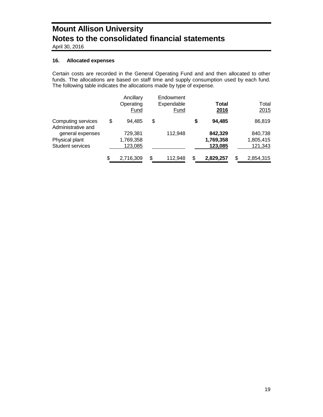April 30, 2016

### **16. Allocated expenses**

Certain costs are recorded in the General Operating Fund and and then allocated to other funds. The allocations are based on staff time and supply consumption used by each fund. The following table indicates the allocations made by type of expense.

|                                                        | Ancillary<br>Operating<br>Fund  | Endowment<br>Expendable<br>Fund | Total<br>2016                   |   | Total<br>2015                   |
|--------------------------------------------------------|---------------------------------|---------------------------------|---------------------------------|---|---------------------------------|
| Computing services<br>Administrative and               | \$<br>94.485                    | \$                              | \$<br>94.485                    |   | 86,819                          |
| general expenses<br>Physical plant<br>Student services | 729,381<br>1,769,358<br>123,085 | 112.948                         | 842,329<br>1,769,358<br>123,085 |   | 840,738<br>1,805,415<br>121,343 |
|                                                        | \$<br>2,716,309                 | \$<br>112,948                   | \$<br>2,829,257                 | S | 2,854,315                       |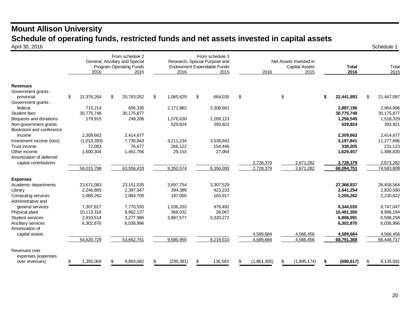### **Mount Allison University Schedule of operating funds, restricted funds and net assets invested in capital assets April 30, 2016** April 30, 2016 Schedule 1

|                                        | 2016                     | From schedule 2<br>General, Ancillary and Special<br>Program Operating Funds<br>2015 | 2016                 | From schedule 3<br>Research, Special Purpose and<br>Endowment Expendable Funds<br>2015 |               | 2016        | Net Assets Invested in<br><b>Capital Assets</b><br>2015 | <b>Total</b><br>2016    | Total<br>2015 |                         |
|----------------------------------------|--------------------------|--------------------------------------------------------------------------------------|----------------------|----------------------------------------------------------------------------------------|---------------|-------------|---------------------------------------------------------|-------------------------|---------------|-------------------------|
| <b>Revenues</b><br>Government grants - |                          |                                                                                      |                      |                                                                                        |               |             |                                                         |                         |               |                         |
| provincial                             | \$<br>21,376,264         | \$<br>20,783,052                                                                     | \$<br>1,065,629      | \$<br>664,035                                                                          | $\frac{1}{2}$ |             | \$                                                      | \$<br>22,441,893        | \$.           | 21,447,087              |
| Government grants -<br>federal         | 715,214                  | 656,335                                                                              | 2,171,982            | 2,308,661                                                                              |               |             |                                                         | 2,887,196               |               | 2,964,996               |
| Student fees                           | 30,775,748               | 30,175,877                                                                           |                      |                                                                                        |               |             |                                                         | 30,775,748              |               | 30,175,877              |
| Bequests and donations                 | 179,915                  | 249,206                                                                              | 1.076.630            | 1,269,123                                                                              |               |             |                                                         | 1,256,545               |               | 1,518,329               |
| Non-government grants                  |                          |                                                                                      | 529,824              | 393,921                                                                                |               |             |                                                         | 529,824                 |               | 393,921                 |
| Bookstore and conference               |                          |                                                                                      |                      |                                                                                        |               |             |                                                         |                         |               |                         |
| income<br>Investment income (loss)     | 2,309,663<br>(1,013,393) | 2,414,677<br>7,738,843                                                               | 4,211,234            | 3,538,843                                                                              |               |             |                                                         | 2,309,663<br>3,197,841  |               | 2,414,677<br>11,277,686 |
| Trust income                           | 72,083                   | 76,677                                                                               | 266,122              | 154,446                                                                                |               |             |                                                         | 338,205                 |               | 231,123                 |
| Other income                           | 1,600,304                | 1,461,766                                                                            | 29,153               | 27,064                                                                                 |               |             |                                                         | 1,629,457               |               | 1,488,830               |
| Amortization of deferred               |                          |                                                                                      |                      |                                                                                        |               |             |                                                         |                         |               |                         |
| capital contributions                  |                          |                                                                                      |                      |                                                                                        |               | 2,728,379   | 2,671,282                                               | 2,728,379               |               | 2,671,282               |
|                                        | 56,015,798               | 63,556,433                                                                           | 9,350,574            | 8,356,093                                                                              |               | 2,728,379   | 2,671,282                                               | 68,094,751              |               | 74,583,808              |
| <b>Expenses</b>                        |                          |                                                                                      |                      |                                                                                        |               |             |                                                         |                         |               |                         |
| Academic departments                   | 23,671,083               | 23,151,035                                                                           | 3,697,754            | 3,307,529                                                                              |               |             |                                                         | 27,368,837              |               | 26,458,564              |
| Library                                | 2,246,865                | 2.397.347                                                                            | 394,389              | 423,233                                                                                |               |             |                                                         | 2,641,254               |               | 2,820,580               |
| Computing services                     | 2,068,262                | 2,064,705                                                                            | 187,000              | 165,917                                                                                |               |             |                                                         | 2,255,262               |               | 2,230,622               |
| Administrative and                     |                          |                                                                                      |                      |                                                                                        |               |             |                                                         |                         |               |                         |
| general services<br>Physical plant     | 7,307,817<br>10,113,318  | 7,770,555<br>8,962,127                                                               | 1.036.203<br>368,032 | 976,492<br>26,067                                                                      |               |             |                                                         | 8.344.020<br>10,481,350 |               | 8,747,047<br>8,988,194  |
| Student services                       | 2,910,514                | 3,277,986                                                                            | 3,897,577            | 3,320,272                                                                              |               |             |                                                         | 6,808,091               |               | 6,598,258               |
| Ancillary services                     | 6,302,870                | 6,038,996                                                                            |                      |                                                                                        |               |             |                                                         | 6,302,870               |               | 6,038,996               |
| Amortization of                        |                          |                                                                                      |                      |                                                                                        |               |             |                                                         |                         |               |                         |
| capital assets                         |                          |                                                                                      |                      |                                                                                        |               | 4.589.684   | 4.566.456                                               | 4,589,684               |               | 4,566,456               |
|                                        | 54,620,729               | 53,662,751                                                                           | 9,580,955            | 8,219,510                                                                              |               | 4,589,684   | 4,566,456                                               | 68,791,368              |               | 66,448,717              |
| Revenues over                          |                          |                                                                                      |                      |                                                                                        |               |             |                                                         |                         |               |                         |
| expenses (expenses                     |                          |                                                                                      |                      |                                                                                        |               |             |                                                         |                         |               |                         |
| over revenues)                         | 1,395,069                | 9.893.682                                                                            | \$<br>(230, 381)     | \$<br>136,583                                                                          | S             | (1,861,305) | \$<br>(1,895,174)                                       | \$<br>(696, 617)        | ß.            | 8,135,091               |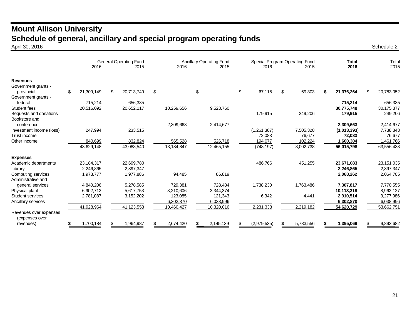### **Mount Allison University Schedule of general, ancillary and special program operating funds** April 30, 2016 April 30, 2016 Schedule 2

|                                          | <b>General Operating Fund</b><br>2016<br>2015 |    |            | <b>Ancillary Operating Fund</b><br>2016<br>2015 |            |    |            |    | 2016        |    | Special Program Operating Fund<br>2015 | <b>Total</b><br>2016 |    | Total<br>2015 |
|------------------------------------------|-----------------------------------------------|----|------------|-------------------------------------------------|------------|----|------------|----|-------------|----|----------------------------------------|----------------------|----|---------------|
|                                          |                                               |    |            |                                                 |            |    |            |    |             |    |                                        |                      |    |               |
| <b>Revenues</b>                          |                                               |    |            |                                                 |            |    |            |    |             |    |                                        |                      |    |               |
| Government grants -                      |                                               |    |            |                                                 |            |    |            |    |             |    |                                        |                      |    |               |
| provincial                               | \$<br>21,309,149                              | \$ | 20,713,749 | \$                                              |            | \$ |            | \$ | 67,115      | \$ | 69,303                                 | 21,376,264           | \$ | 20,783,052    |
| Government grants -                      |                                               |    |            |                                                 |            |    |            |    |             |    |                                        |                      |    |               |
| federal                                  | 715,214                                       |    | 656,335    |                                                 |            |    |            |    |             |    |                                        | 715,214              |    | 656,335       |
| Student fees                             | 20,516,092                                    |    | 20,652,117 |                                                 | 10,259,656 |    | 9,523,760  |    |             |    |                                        | 30,775,748           |    | 30,175,877    |
| Bequests and donations                   |                                               |    |            |                                                 |            |    |            |    | 179,915     |    | 249,206                                | 179,915              |    | 249,206       |
| Bookstore and                            |                                               |    |            |                                                 |            |    |            |    |             |    |                                        |                      |    |               |
| conference                               |                                               |    |            |                                                 | 2,309,663  |    | 2,414,677  |    |             |    |                                        | 2,309,663            |    | 2,414,677     |
| Investment income (loss)                 | 247,994                                       |    | 233,515    |                                                 |            |    |            |    | (1,261,387) |    | 7,505,328                              | (1,013,393)          |    | 7,738,843     |
| Trust income                             |                                               |    |            |                                                 |            |    |            |    | 72,083      |    | 76,677                                 | 72,083               |    | 76,677        |
| Other income                             | 840,699                                       |    | 832,824    |                                                 | 565,528    |    | 526,718    |    | 194.077     |    | 102,224                                | 1,600,304            |    | 1,461,766     |
|                                          | 43,629,148                                    |    | 43,088,540 |                                                 | 13,134,847 |    | 12,465,155 |    | (748, 197)  |    | 8,002,738                              | 56,015,798           |    | 63,556,433    |
| <b>Expenses</b>                          |                                               |    |            |                                                 |            |    |            |    |             |    |                                        |                      |    |               |
| Academic departments                     | 23,184,317                                    |    | 22,699,780 |                                                 |            |    |            |    | 486,766     |    | 451,255                                | 23,671,083           |    | 23, 151, 035  |
| Library                                  | 2,246,865                                     |    | 2,397,347  |                                                 |            |    |            |    |             |    |                                        | 2,246,865            |    | 2,397,347     |
| Computing services                       | 1,973,777                                     |    | 1,977,886  |                                                 | 94,485     |    | 86,819     |    |             |    |                                        | 2,068,262            |    | 2,064,705     |
| Administrative and                       |                                               |    |            |                                                 |            |    |            |    |             |    |                                        |                      |    |               |
| general services                         | 4,840,206                                     |    | 5,278,585  |                                                 | 729,381    |    | 728,484    |    | 1,738,230   |    | 1,763,486                              | 7,307,817            |    | 7,770,555     |
| Physical plant                           | 6,902,712                                     |    | 5,617,753  |                                                 | 3,210,606  |    | 3,344,374  |    |             |    |                                        | 10,113,318           |    | 8,962,127     |
| Student services                         | 2,781,087                                     |    | 3,152,202  |                                                 | 123,085    |    | 121,343    |    | 6,342       |    | 4,441                                  | 2,910,514            |    | 3,277,986     |
| Ancillary services                       |                                               |    |            |                                                 | 6,302,870  |    | 6,038,996  |    |             |    |                                        | 6,302,870            |    | 6,038,996     |
|                                          | 41,928,964                                    |    | 41,123,553 |                                                 | 10,460,427 |    | 10,320,016 |    | 2,231,338   |    | 2,219,182                              | 54,620,729           |    | 53,662,751    |
| Revenues over expenses<br>(expenses over |                                               |    |            |                                                 |            |    |            |    |             |    |                                        |                      |    |               |
| revenues)                                | 1,700,184                                     | .ፍ | 1,964,987  |                                                 | 2,674,420  |    | 2,145,139  |    | (2,979,535) | £. | 5,783,556                              | 1,395,069            | ß. | 9,893,682     |